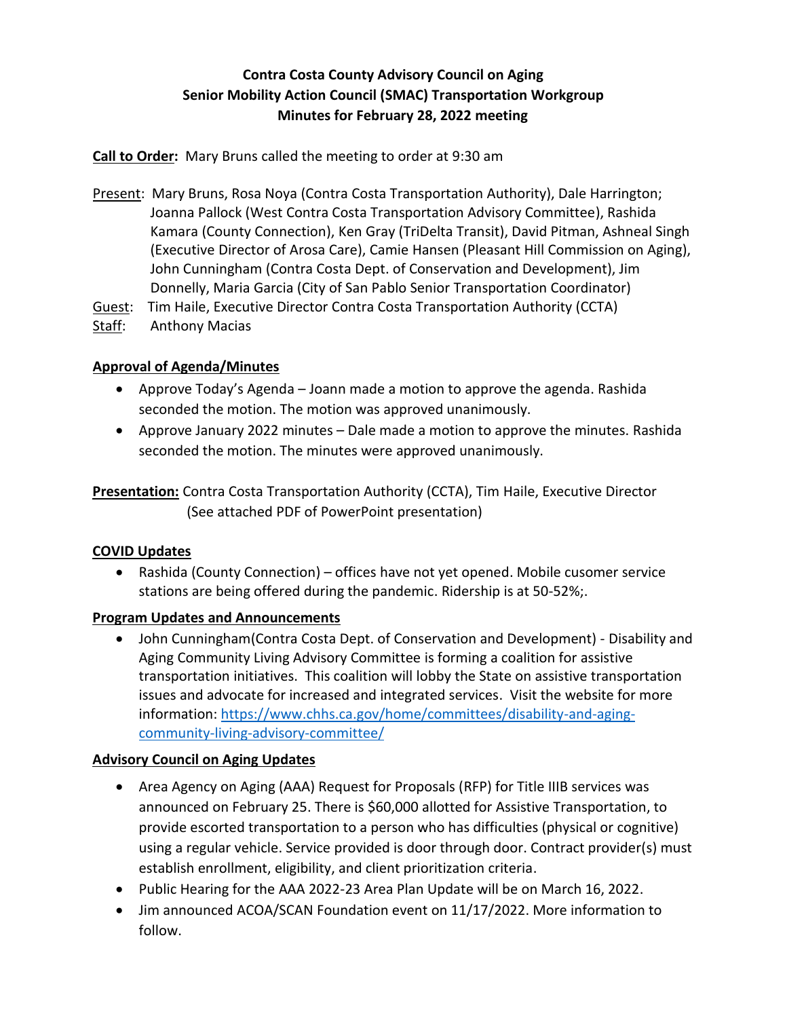# **Contra Costa County Advisory Council on Aging Senior Mobility Action Council (SMAC) Transportation Workgroup Minutes for February 28, 2022 meeting**

**Call to Order:** Mary Bruns called the meeting to order at 9:30 am

Present: Mary Bruns, Rosa Noya (Contra Costa Transportation Authority), Dale Harrington; Joanna Pallock (West Contra Costa Transportation Advisory Committee), Rashida Kamara (County Connection), Ken Gray (TriDelta Transit), David Pitman, Ashneal Singh (Executive Director of Arosa Care), Camie Hansen (Pleasant Hill Commission on Aging), John Cunningham (Contra Costa Dept. of Conservation and Development), Jim Donnelly, Maria Garcia (City of San Pablo Senior Transportation Coordinator)

Guest: Tim Haile, Executive Director Contra Costa Transportation Authority (CCTA)

Staff: Anthony Macias

## **Approval of Agenda/Minutes**

- Approve Today's Agenda Joann made a motion to approve the agenda. Rashida seconded the motion. The motion was approved unanimously.
- Approve January 2022 minutes Dale made a motion to approve the minutes. Rashida seconded the motion. The minutes were approved unanimously.

**Presentation:** Contra Costa Transportation Authority (CCTA), Tim Haile, Executive Director (See attached PDF of PowerPoint presentation)

#### **COVID Updates**

 Rashida (County Connection) – offices have not yet opened. Mobile cusomer service stations are being offered during the pandemic. Ridership is at 50-52%;.

## **Program Updates and Announcements**

 John Cunningham(Contra Costa Dept. of Conservation and Development) - Disability and Aging Community Living Advisory Committee is forming a coalition for assistive transportation initiatives. This coalition will lobby the State on assistive transportation issues and advocate for increased and integrated services. Visit the website for more information: [https://www.chhs.ca.gov/home/committees/disability-and-aging](https://www.chhs.ca.gov/home/committees/disability-and-aging-community-living-advisory-committee/)[community-living-advisory-committee/](https://www.chhs.ca.gov/home/committees/disability-and-aging-community-living-advisory-committee/)

## **Advisory Council on Aging Updates**

- Area Agency on Aging (AAA) Request for Proposals (RFP) for Title IIIB services was announced on February 25. There is \$60,000 allotted for Assistive Transportation, to provide escorted transportation to a person who has difficulties (physical or cognitive) using a regular vehicle. Service provided is door through door. Contract provider(s) must establish enrollment, eligibility, and client prioritization criteria.
- Public Hearing for the AAA 2022-23 Area Plan Update will be on March 16, 2022.
- Jim announced ACOA/SCAN Foundation event on 11/17/2022. More information to follow.